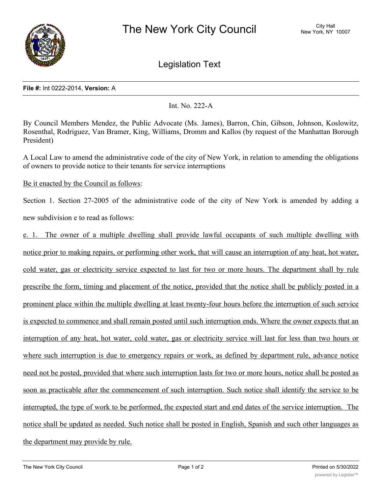

Legislation Text

## **File #:** Int 0222-2014, **Version:** A

Int. No. 222-A

By Council Members Mendez, the Public Advocate (Ms. James), Barron, Chin, Gibson, Johnson, Koslowitz, Rosenthal, Rodriguez, Van Bramer, King, Williams, Dromm and Kallos (by request of the Manhattan Borough President)

A Local Law to amend the administrative code of the city of New York, in relation to amending the obligations of owners to provide notice to their tenants for service interruptions

Be it enacted by the Council as follows:

Section 1. Section 27-2005 of the administrative code of the city of New York is amended by adding a new subdivision e to read as follows:

e. 1. The owner of a multiple dwelling shall provide lawful occupants of such multiple dwelling with notice prior to making repairs, or performing other work, that will cause an interruption of any heat, hot water, cold water, gas or electricity service expected to last for two or more hours. The department shall by rule prescribe the form, timing and placement of the notice, provided that the notice shall be publicly posted in a prominent place within the multiple dwelling at least twenty-four hours before the interruption of such service is expected to commence and shall remain posted until such interruption ends. Where the owner expects that an interruption of any heat, hot water, cold water, gas or electricity service will last for less than two hours or where such interruption is due to emergency repairs or work, as defined by department rule, advance notice need not be posted, provided that where such interruption lasts for two or more hours, notice shall be posted as soon as practicable after the commencement of such interruption. Such notice shall identify the service to be interrupted, the type of work to be performed, the expected start and end dates of the service interruption. The notice shall be updated as needed. Such notice shall be posted in English, Spanish and such other languages as the department may provide by rule.